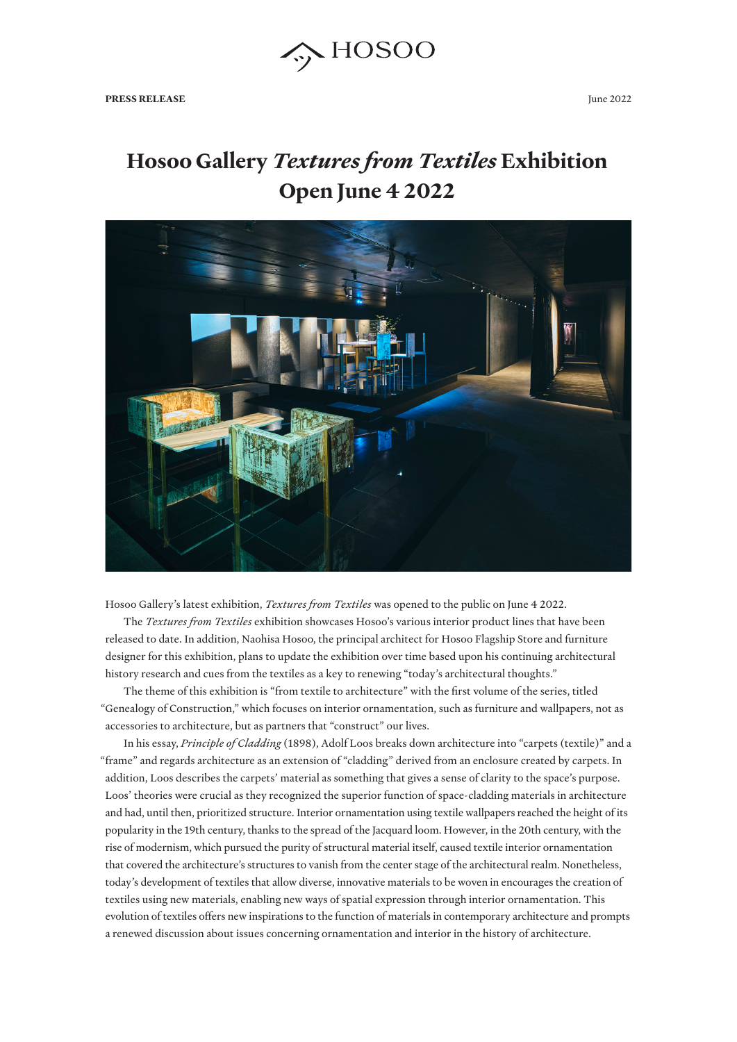

June 2022

## **Hosoo Gallery** *Textures from Textiles* **Exhibition Open June 4 2022**



Hosoo Gallery's latest exhibition, *Textures from Textiles* was opened to the public on June 4 2022.

The *Textures from Textiles* exhibition showcases Hosoo's various interior product lines that have been released to date. In addition, Naohisa Hosoo, the principal architect for Hosoo Flagship Store and furniture designer for this exhibition, plans to update the exhibition over time based upon his continuing architectural history research and cues from the textiles as a key to renewing "today's architectural thoughts."

The theme of this exhibition is "from textile to architecture" with the first volume of the series, titled "Genealogy of Construction," which focuses on interior ornamentation, such as furniture and wallpapers, not as accessories to architecture, but as partners that "construct" our lives.

In his essay, *Principle of Cladding* (1898), Adolf Loos breaks down architecture into "carpets (textile)" and a "frame" and regards architecture as an extension of "cladding" derived from an enclosure created by carpets. In addition, Loos describes the carpets' material as something that gives a sense of clarity to the space's purpose. Loos' theories were crucial as they recognized the superior function of space-cladding materials in architecture and had, until then, prioritized structure. Interior ornamentation using textile wallpapers reached the height of its popularity in the 19th century, thanks to the spread of the Jacquard loom. However, in the 20th century, with the rise of modernism, which pursued the purity of structural material itself, caused textile interior ornamentation that covered the architecture's structures to vanish from the center stage of the architectural realm. Nonetheless, today's development of textiles that allow diverse, innovative materials to be woven in encourages the creation of textiles using new materials, enabling new ways of spatial expression through interior ornamentation. This evolution of textiles offers new inspirations to the function of materials in contemporary architecture and prompts a renewed discussion about issues concerning ornamentation and interior in the history of architecture.